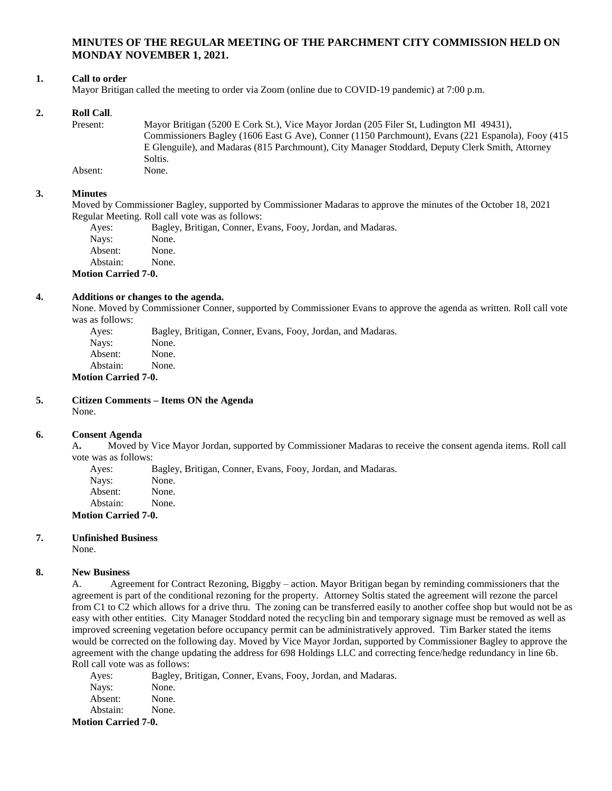# **MINUTES OF THE REGULAR MEETING OF THE PARCHMENT CITY COMMISSION HELD ON MONDAY NOVEMBER 1, 2021.**

### **1. Call to order**

Mayor Britigan called the meeting to order via Zoom (online due to COVID-19 pandemic) at 7:00 p.m.

### **2. Roll Call**.

Present: Mayor Britigan (5200 E Cork St.), Vice Mayor Jordan (205 Filer St, Ludington MI 49431), Commissioners Bagley (1606 East G Ave), Conner (1150 Parchmount), Evans (221 Espanola), Fooy (415 E Glenguile), and Madaras (815 Parchmount), City Manager Stoddard, Deputy Clerk Smith, Attorney Soltis. Absent: None.

#### **3. Minutes**

Moved by Commissioner Bagley, supported by Commissioner Madaras to approve the minutes of the October 18, 2021 Regular Meeting. Roll call vote was as follows:

| Ayes:    | Bagley, Britigan, Conner, Evans, Fooy, Jordan, and Madaras. |
|----------|-------------------------------------------------------------|
| Navs:    | None.                                                       |
| Absent:  | None.                                                       |
| Abstain: | None.                                                       |
|          |                                                             |

**Motion Carried 7-0.**

#### **4. Additions or changes to the agenda.**

None. Moved by Commissioner Conner, supported by Commissioner Evans to approve the agenda as written. Roll call vote was as follows:

Ayes: Bagley, Britigan, Conner, Evans, Fooy, Jordan, and Madaras. Nays: None. Absent: None. Abstain: None. **Motion Carried 7-0.**

#### **5. Citizen Comments – Items ON the Agenda** None.

#### **6. Consent Agenda**

A**.** Moved by Vice Mayor Jordan, supported by Commissioner Madaras to receive the consent agenda items. Roll call vote was as follows:

Ayes: Bagley, Britigan, Conner, Evans, Fooy, Jordan, and Madaras.

Nays: None.<br>Absent: None.

Absent:

Abstain: None.

**Motion Carried 7-0.**

#### **7. Unfinished Business**

None.

#### **8. New Business**

A. Agreement for Contract Rezoning, Biggby – action. Mayor Britigan began by reminding commissioners that the agreement is part of the conditional rezoning for the property. Attorney Soltis stated the agreement will rezone the parcel from C1 to C2 which allows for a drive thru. The zoning can be transferred easily to another coffee shop but would not be as easy with other entities. City Manager Stoddard noted the recycling bin and temporary signage must be removed as well as improved screening vegetation before occupancy permit can be administratively approved. Tim Barker stated the items would be corrected on the following day. Moved by Vice Mayor Jordan, supported by Commissioner Bagley to approve the agreement with the change updating the address for 698 Holdings LLC and correcting fence/hedge redundancy in line 6b. Roll call vote was as follows:

Ayes: Bagley, Britigan, Conner, Evans, Fooy, Jordan, and Madaras. Nays: None. Absent: None. Abstain: None. **Motion Carried 7-0.**